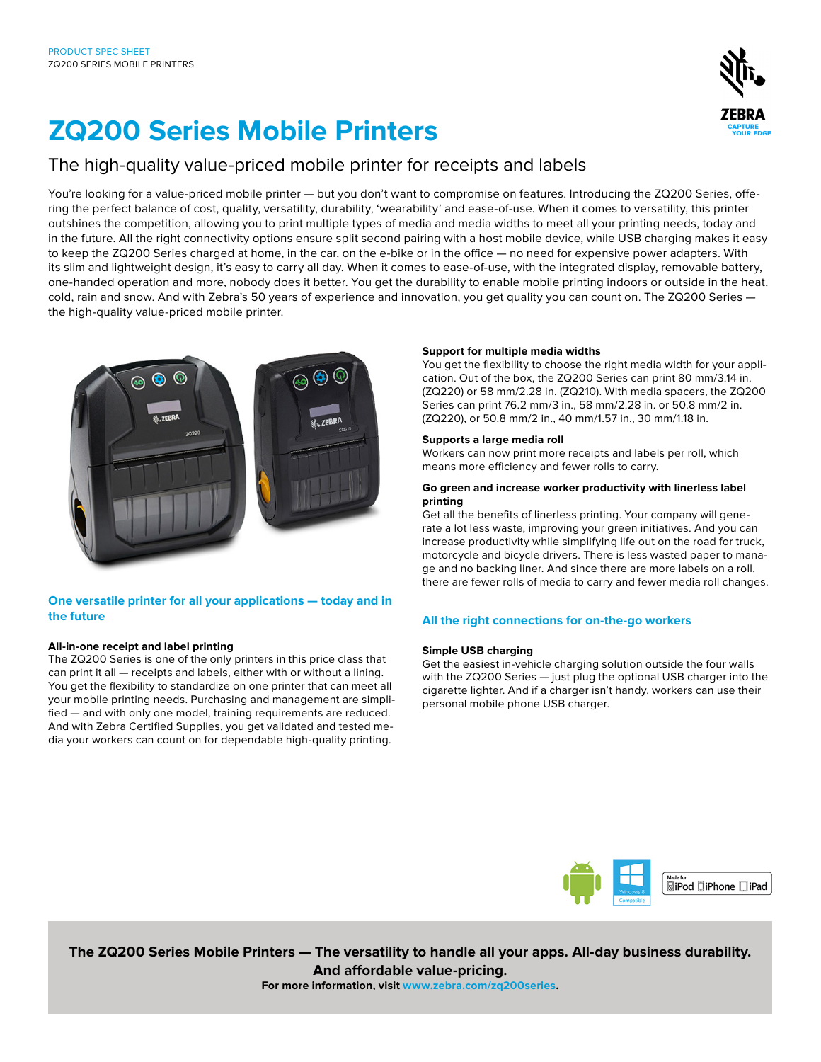

# **ZQ200 Series Mobile Printers**

# The high-quality value-priced mobile printer for receipts and labels

You're looking for a value-priced mobile printer — but you don't want to compromise on features. Introducing the ZQ200 Series, offering the perfect balance of cost, quality, versatility, durability, 'wearability' and ease-of-use. When it comes to versatility, this printer outshines the competition, allowing you to print multiple types of media and media widths to meet all your printing needs, today and in the future. All the right connectivity options ensure split second pairing with a host mobile device, while USB charging makes it easy to keep the ZQ200 Series charged at home, in the car, on the e-bike or in the office — no need for expensive power adapters. With its slim and lightweight design, it's easy to carry all day. When it comes to ease-of-use, with the integrated display, removable battery, one-handed operation and more, nobody does it better. You get the durability to enable mobile printing indoors or outside in the heat, cold, rain and snow. And with Zebra's 50 years of experience and innovation, you get quality you can count on. The ZQ200 Series the high-quality value-priced mobile printer.



# **One versatile printer for all your applications — today and in the future**

# **All-in-one receipt and label printing**

The ZQ200 Series is one of the only printers in this price class that can print it all — receipts and labels, either with or without a lining. You get the flexibility to standardize on one printer that can meet all your mobile printing needs. Purchasing and management are simplified — and with only one model, training requirements are reduced. And with Zebra Certified Supplies, you get validated and tested media your workers can count on for dependable high-quality printing.

# **Support for multiple media widths**

You get the flexibility to choose the right media width for your application. Out of the box, the ZQ200 Series can print 80 mm/3.14 in. (ZQ220) or 58 mm/2.28 in. (ZQ210). With media spacers, the ZQ200 Series can print 76.2 mm/3 in., 58 mm/2.28 in. or 50.8 mm/2 in. (ZQ220), or 50.8 mm/2 in., 40 mm/1.57 in., 30 mm/1.18 in.

# **Supports a large media roll**

Workers can now print more receipts and labels per roll, which means more efficiency and fewer rolls to carry.

### **Go green and increase worker productivity with linerless label printing**

Get all the benefits of linerless printing. Your company will generate a lot less waste, improving your green initiatives. And you can increase productivity while simplifying life out on the road for truck, motorcycle and bicycle drivers. There is less wasted paper to manage and no backing liner. And since there are more labels on a roll, there are fewer rolls of media to carry and fewer media roll changes.

# **All the right connections for on-the-go workers**

# **Simple USB charging**

Get the easiest in-vehicle charging solution outside the four walls with the ZQ200 Series — just plug the optional USB charger into the cigarette lighter. And if a charger isn't handy, workers can use their personal mobile phone USB charger.



**The ZQ200 Series Mobile Printers — The versatility to handle all your apps. All-day business durability. And affordable value-pricing. For more information, visit www.zebra.com/zq200series.**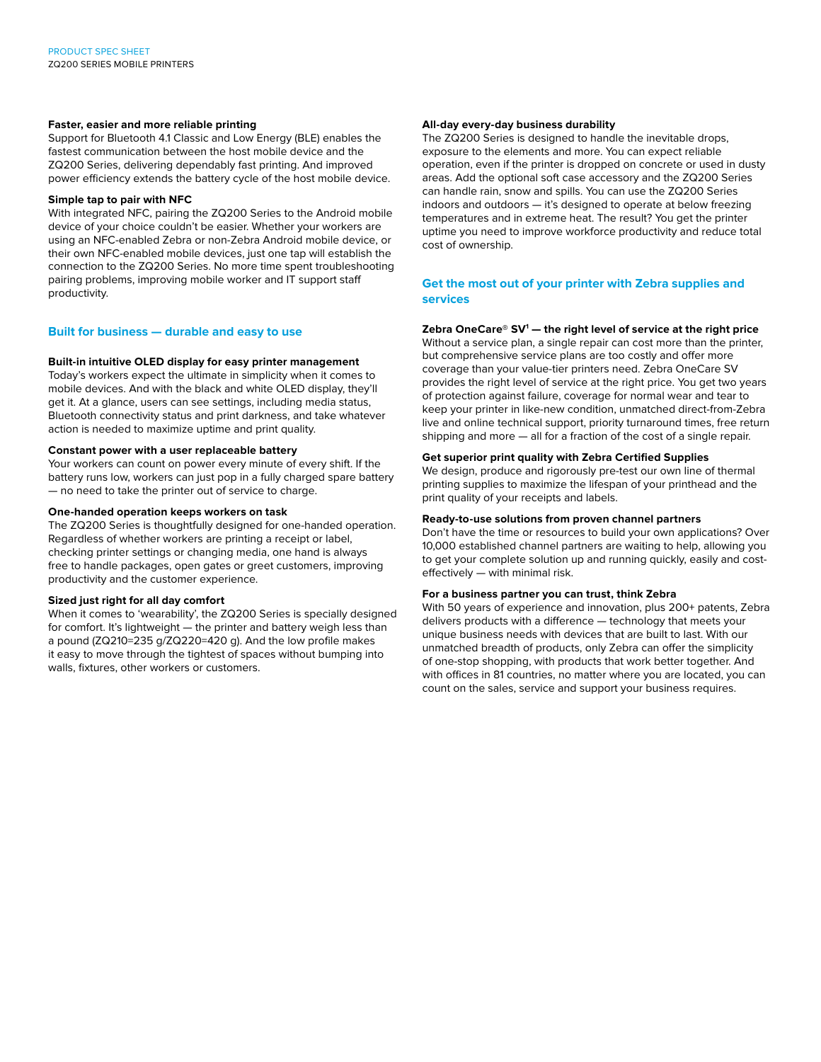### **Faster, easier and more reliable printing**

Support for Bluetooth 4.1 Classic and Low Energy (BLE) enables the fastest communication between the host mobile device and the ZQ200 Series, delivering dependably fast printing. And improved power efficiency extends the battery cycle of the host mobile device.

### **Simple tap to pair with NFC**

With integrated NFC, pairing the ZQ200 Series to the Android mobile device of your choice couldn't be easier. Whether your workers are using an NFC-enabled Zebra or non-Zebra Android mobile device, or their own NFC-enabled mobile devices, just one tap will establish the connection to the ZQ200 Series. No more time spent troubleshooting pairing problems, improving mobile worker and IT support staff productivity.

# **Built for business — durable and easy to use**

# **Built-in intuitive OLED display for easy printer management**

Today's workers expect the ultimate in simplicity when it comes to mobile devices. And with the black and white OLED display, they'll get it. At a glance, users can see settings, including media status, Bluetooth connectivity status and print darkness, and take whatever action is needed to maximize uptime and print quality.

#### **Constant power with a user replaceable battery**

Your workers can count on power every minute of every shift. If the battery runs low, workers can just pop in a fully charged spare battery — no need to take the printer out of service to charge.

#### **One-handed operation keeps workers on task**

The ZQ200 Series is thoughtfully designed for one-handed operation. Regardless of whether workers are printing a receipt or label, checking printer settings or changing media, one hand is always free to handle packages, open gates or greet customers, improving productivity and the customer experience.

#### **Sized just right for all day comfort**

When it comes to 'wearability', the ZQ200 Series is specially designed for comfort. It's lightweight — the printer and battery weigh less than a pound (ZQ210=235 g/ZQ220=420 g). And the low profile makes it easy to move through the tightest of spaces without bumping into walls, fixtures, other workers or customers.

### **All-day every-day business durability**

The ZQ200 Series is designed to handle the inevitable drops, exposure to the elements and more. You can expect reliable operation, even if the printer is dropped on concrete or used in dusty areas. Add the optional soft case accessory and the ZQ200 Series can handle rain, snow and spills. You can use the ZQ200 Series indoors and outdoors — it's designed to operate at below freezing temperatures and in extreme heat. The result? You get the printer uptime you need to improve workforce productivity and reduce total cost of ownership.

# **Get the most out of your printer with Zebra supplies and services**

# **Zebra OneCare® SV1 — the right level of service at the right price**

Without a service plan, a single repair can cost more than the printer, but comprehensive service plans are too costly and offer more coverage than your value-tier printers need. Zebra OneCare SV provides the right level of service at the right price. You get two years of protection against failure, coverage for normal wear and tear to keep your printer in like-new condition, unmatched direct-from-Zebra live and online technical support, priority turnaround times, free return shipping and more — all for a fraction of the cost of a single repair.

# **Get superior print quality with Zebra Certified Supplies**

We design, produce and rigorously pre-test our own line of thermal printing supplies to maximize the lifespan of your printhead and the print quality of your receipts and labels.

#### **Ready-to-use solutions from proven channel partners**

Don't have the time or resources to build your own applications? Over 10,000 established channel partners are waiting to help, allowing you to get your complete solution up and running quickly, easily and costeffectively — with minimal risk.

# **For a business partner you can trust, think Zebra**

With 50 years of experience and innovation, plus 200+ patents, Zebra delivers products with a difference — technology that meets your unique business needs with devices that are built to last. With our unmatched breadth of products, only Zebra can offer the simplicity of one-stop shopping, with products that work better together. And with offices in 81 countries, no matter where you are located, you can count on the sales, service and support your business requires.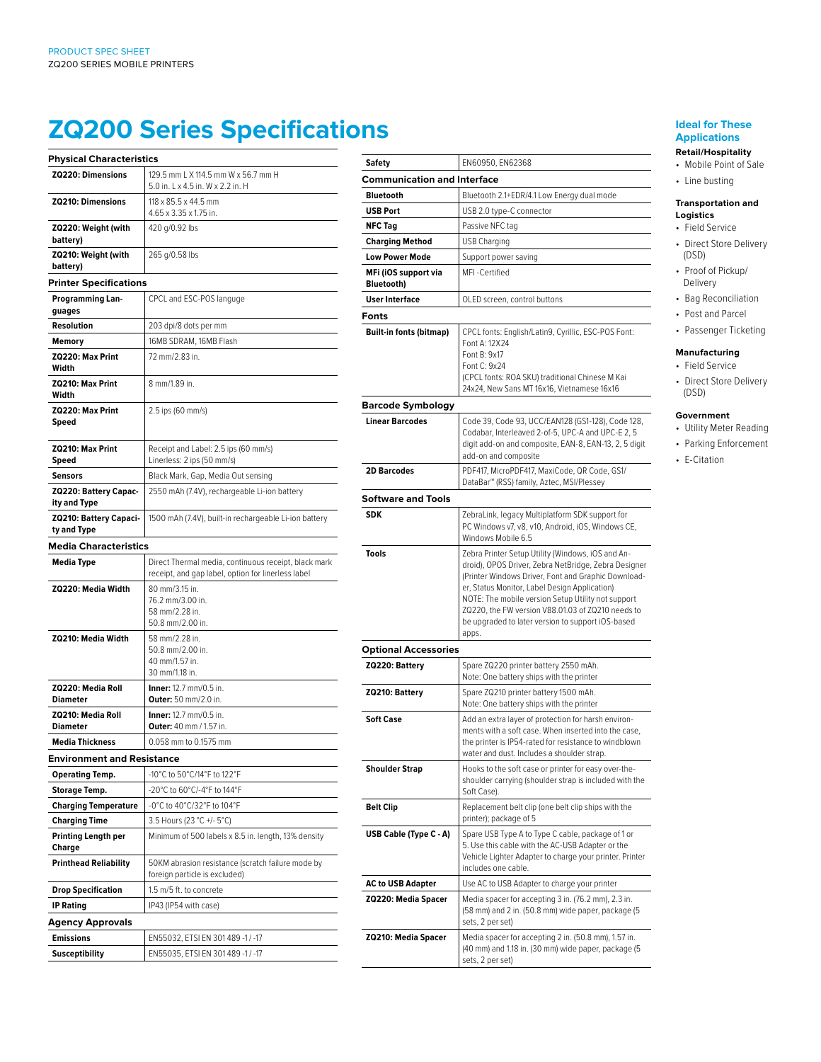# **ZQ200 Series Specifications**

| <b>Physical Characteristics</b>       |                                                                                                            |  |  |
|---------------------------------------|------------------------------------------------------------------------------------------------------------|--|--|
| ZQ220: Dimensions                     | 129.5 mm L X 114.5 mm W x 56.7 mm H<br>5.0 in. 1 x 4.5 in. W x 2.2 in. H                                   |  |  |
| <b>ZQ210: Dimensions</b>              | $118 \times 85.5 \times 44.5$ mm<br>4.65 x 3.35 x 1.75 in.                                                 |  |  |
| ZQ220: Weight (with<br>battery)       | 420 g/0.92 lbs                                                                                             |  |  |
| ZQ210: Weight (with<br>battery)       | 265 g/0.58 lbs                                                                                             |  |  |
|                                       | <b>Printer Specifications</b>                                                                              |  |  |
| Programming Lan-<br>guages            | CPCL and ESC-POS languge                                                                                   |  |  |
| Resolution                            | 203 dpi/8 dots per mm                                                                                      |  |  |
| Memory                                | 16MB SDRAM, 16MB Flash                                                                                     |  |  |
| ZQ220: Max Print<br>Width             | 72 mm/2.83 in.                                                                                             |  |  |
| ZQ210: Max Print<br>Width             | 8 mm/1.89 in.                                                                                              |  |  |
| ZQ220: Max Print<br>Speed             | 2.5 ips (60 mm/s)                                                                                          |  |  |
| ZQ210: Max Print<br>Speed             | Receipt and Label: 2.5 ips (60 mm/s)<br>Linerless: 2 ips (50 mm/s)                                         |  |  |
| <b>Sensors</b>                        | Black Mark, Gap, Media Out sensing                                                                         |  |  |
| ZQ220: Battery Capac-<br>ity and Type | 2550 mAh (7.4V), rechargeable Li-ion battery                                                               |  |  |
| ZQ210: Battery Capaci-<br>ty and Type | 1500 mAh (7.4V), built-in rechargeable Li-ion battery                                                      |  |  |
| <b>Media Characteristics</b>          |                                                                                                            |  |  |
| Media Type                            | Direct Thermal media, continuous receipt, black mark<br>receipt, and gap label, option for linerless label |  |  |
| ZQ220: Media Width                    | 80 mm/3.15 in.<br>76.2 mm/3.00 in.<br>58 mm/2.28 in.<br>50.8 mm/2.00 in.                                   |  |  |
| ZQ210: Media Width                    | 58 mm/2.28 in.<br>50.8 mm/2.00 in.<br>40 mm/1.57 in.<br>30 mm/1.18 in.                                     |  |  |
| ZQ220: Media Roll<br>Diameter         | <b>Inner:</b> 12.7 mm/0.5 in.<br><b>Outer:</b> 50 mm/2.0 in.                                               |  |  |
| ZQ210: Media Roll<br><b>Diameter</b>  | <b>Inner:</b> 12.7 mm/0.5 in.<br><b>Outer:</b> 40 mm / 1.57 in.                                            |  |  |
| <b>Media Thickness</b>                | 0.058 mm to 0.1575 mm                                                                                      |  |  |
| <b>Environment and Resistance</b>     |                                                                                                            |  |  |
| <b>Operating Temp.</b>                | -10°C to 50°C/14°F to 122°F                                                                                |  |  |
| <b>Storage Temp.</b>                  | -20°C to 60°C/-4°F to 144°F                                                                                |  |  |
| <b>Charging Temperature</b>           | -0°C to 40°C/32°F to 104°F                                                                                 |  |  |
| <b>Charging Time</b>                  | 3.5 Hours (23 °C +/- 5°C)                                                                                  |  |  |
| Printing Length per<br>Charge         | Minimum of 500 labels x 8.5 in. length, 13% density                                                        |  |  |
| <b>Printhead Reliability</b>          | 50KM abrasion resistance (scratch failure mode by<br>foreign particle is excluded)                         |  |  |
| <b>Drop Specification</b>             | 1.5 m/5 ft. to concrete                                                                                    |  |  |
| <b>IP Rating</b>                      | IP43 (IP54 with case)                                                                                      |  |  |
| <b>Agency Approvals</b>               |                                                                                                            |  |  |
| <b>Emissions</b>                      | EN55032, ETSI EN 301489 -1 / -17                                                                           |  |  |
| <b>Susceptibility</b>                 | EN55035, ETSI EN 301 489 -1 / -17                                                                          |  |  |
|                                       |                                                                                                            |  |  |

| Safety                                    | EN60950, EN62368                                                                                                                                                                                                                                                                                                                                                                           |
|-------------------------------------------|--------------------------------------------------------------------------------------------------------------------------------------------------------------------------------------------------------------------------------------------------------------------------------------------------------------------------------------------------------------------------------------------|
| <b>Communication and Interface</b>        |                                                                                                                                                                                                                                                                                                                                                                                            |
| <b>Bluetooth</b>                          | Bluetooth 2.1+EDR/4.1 Low Energy dual mode                                                                                                                                                                                                                                                                                                                                                 |
| <b>USB Port</b>                           | USB 2.0 type-C connector                                                                                                                                                                                                                                                                                                                                                                   |
| <b>NFC Tag</b>                            | Passive NFC tag                                                                                                                                                                                                                                                                                                                                                                            |
| <b>Charging Method</b>                    | USB Charging                                                                                                                                                                                                                                                                                                                                                                               |
| <b>Low Power Mode</b>                     | Support power saving                                                                                                                                                                                                                                                                                                                                                                       |
| MFi (iOS support via<br><b>Bluetooth)</b> | MFI-Certified                                                                                                                                                                                                                                                                                                                                                                              |
| <b>User Interface</b>                     | OLED screen, control buttons                                                                                                                                                                                                                                                                                                                                                               |
| Fonts                                     |                                                                                                                                                                                                                                                                                                                                                                                            |
| <b>Built-in fonts (bitmap)</b>            | CPCL fonts: English/Latin9, Cyrillic, ESC-POS Font:<br>Font A: 12X24<br>Font B: 9x17<br>Font C: 9x24<br>(CPCL fonts: ROA SKU) traditional Chinese M Kai<br>24x24, New Sans MT 16x16, Vietnamese 16x16                                                                                                                                                                                      |
| Barcode Symbology                         |                                                                                                                                                                                                                                                                                                                                                                                            |
| <b>Linear Barcodes</b>                    | Code 39, Code 93, UCC/EAN128 (GS1-128), Code 128,<br>Codabar, Interleaved 2-of-5, UPC-A and UPC-E 2, 5<br>digit add-on and composite, EAN-8, EAN-13, 2, 5 digit<br>add-on and composite                                                                                                                                                                                                    |
| <b>2D Barcodes</b>                        | PDF417, MicroPDF417, MaxiCode, QR Code, GS1/<br>DataBar™ (RSS) family, Aztec, MSI/Plessey                                                                                                                                                                                                                                                                                                  |
| <b>Software and Tools</b>                 |                                                                                                                                                                                                                                                                                                                                                                                            |
| <b>SDK</b>                                | ZebraLink, legacy Multiplatform SDK support for<br>PC Windows v7, v8, v10, Android, iOS, Windows CE,<br>Windows Mobile 6.5                                                                                                                                                                                                                                                                 |
| <b>Tools</b>                              | Zebra Printer Setup Utility (Windows, iOS and An-<br>droid), OPOS Driver, Zebra NetBridge, Zebra Designer<br>(Printer Windows Driver, Font and Graphic Download-<br>er, Status Monitor, Label Design Application)<br>NOTE: The mobile version Setup Utility not support<br>ZQ220, the FW version V88.01.03 of ZQ210 needs to<br>be upgraded to later version to support iOS-based<br>apps. |
| <b>Optional Accessories</b>               |                                                                                                                                                                                                                                                                                                                                                                                            |
| ZQ220: Battery                            | Spare ZQ220 printer battery 2550 mAh.<br>Note: One battery ships with the printer                                                                                                                                                                                                                                                                                                          |
| ZQ210: Battery                            | Spare ZQ210 printer battery 1500 mAh.<br>Note: One battery ships with the printer                                                                                                                                                                                                                                                                                                          |
| <b>Soft Case</b>                          | Add an extra layer of protection for harsh environ-<br>ments with a soft case. When inserted into the case,<br>the printer is IP54-rated for resistance to windblown<br>water and dust. Includes a shoulder strap.                                                                                                                                                                         |
| <b>Shoulder Strap</b>                     | Hooks to the soft case or printer for easy over-the-<br>shoulder carrying (shoulder strap is included with the<br>Soft Case).                                                                                                                                                                                                                                                              |
| <b>Belt Clip</b>                          | Replacement belt clip (one belt clip ships with the<br>printer); package of 5                                                                                                                                                                                                                                                                                                              |
| USB Cable (Type C - A)                    | Spare USB Type A to Type C cable, package of 1 or<br>5. Use this cable with the AC-USB Adapter or the<br>Vehicle Lighter Adapter to charge your printer. Printer<br>includes one cable.                                                                                                                                                                                                    |
| <b>AC to USB Adapter</b>                  | Use AC to USB Adapter to charge your printer                                                                                                                                                                                                                                                                                                                                               |
| ZQ220: Media Spacer                       | Media spacer for accepting 3 in. (76.2 mm), 2.3 in.<br>(58 mm) and 2 in. (50.8 mm) wide paper, package (5<br>sets, 2 per set)                                                                                                                                                                                                                                                              |
| ZQ210: Media Spacer                       | Media spacer for accepting 2 in. (50.8 mm), 1.57 in.<br>(40 mm) and 1.18 in. (30 mm) wide paper, package (5<br>sets, 2 per set)                                                                                                                                                                                                                                                            |

# **Ideal for These Applications**

- **Retail/Hospitality** • Mobile Point of Sale
- Line busting

#### **Transportation and Logistics**

- Field Service
- Direct Store Delivery (DSD)
- Proof of Pickup/ Delivery
- Bag Reconciliation
- Post and Parcel
- Passenger Ticketing

# **Manufacturing**

- Field Service
- Direct Store Delivery (DSD)

# **Government**

- Utility Meter Reading
- Parking Enforcement
- E-Citation